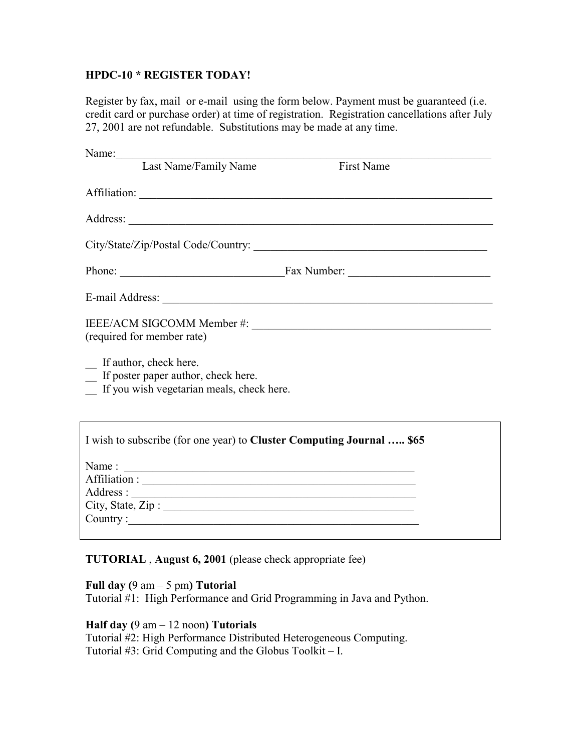## **HPDC-10 \* REGISTER TODAY!**

Register by fax, mail or e-mail using the form below. Payment must be guaranteed (i.e. credit card or purchase order) at time of registration. Registration cancellations after July 27, 2001 are not refundable. Substitutions may be made at any time.

|                   | Name:                                                                                                                                      |                                       |  |
|-------------------|--------------------------------------------------------------------------------------------------------------------------------------------|---------------------------------------|--|
|                   | Last Name/Family Name                                                                                                                      | <b>First Name</b>                     |  |
|                   |                                                                                                                                            |                                       |  |
|                   |                                                                                                                                            |                                       |  |
|                   |                                                                                                                                            | Phone: <u>Fax Number:</u> Fax Number: |  |
|                   |                                                                                                                                            |                                       |  |
|                   | (required for member rate)<br>If author, check here.<br>_ If poster paper author, check here.<br>If you wish vegetarian meals, check here. |                                       |  |
|                   | I wish to subscribe (for one year) to Cluster Computing Journal  \$65                                                                      |                                       |  |
|                   |                                                                                                                                            |                                       |  |
|                   |                                                                                                                                            |                                       |  |
|                   |                                                                                                                                            |                                       |  |
| City, State, Zip: |                                                                                                                                            |                                       |  |
|                   |                                                                                                                                            |                                       |  |

# **TUTORIAL** , **August 6, 2001** (please check appropriate fee)

# **Full day (**9 am – 5 pm**) Tutorial**

Tutorial #1: High Performance and Grid Programming in Java and Python.

**Half day (**9 am – 12 noon**) Tutorials**  Tutorial #2: High Performance Distributed Heterogeneous Computing. Tutorial #3: Grid Computing and the Globus Toolkit – I.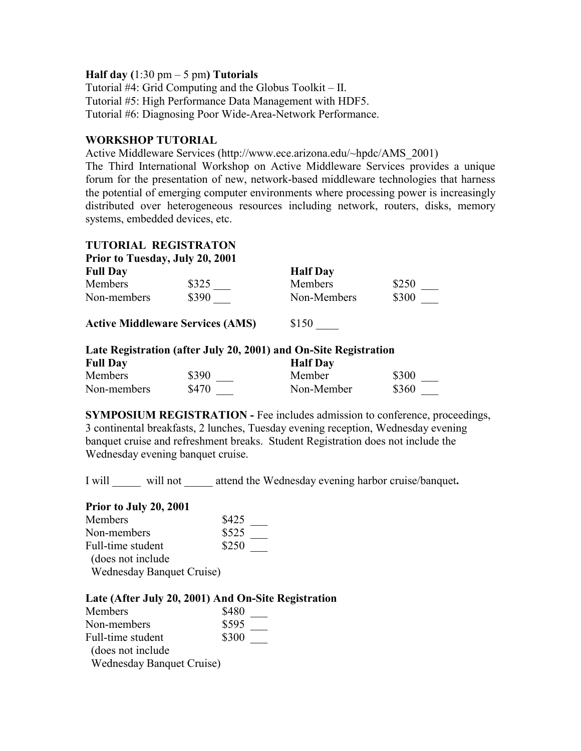#### **Half day (**1:30 pm – 5 pm**) Tutorials**

Tutorial #4: Grid Computing and the Globus Toolkit – II. Tutorial #5: High Performance Data Management with HDF5. Tutorial #6: Diagnosing Poor Wide-Area-Network Performance.

## **WORKSHOP TUTORIAL**

Active Middleware Services (http://www.ece.arizona.edu/~hpdc/AMS\_2001) The Third International Workshop on Active Middleware Services provides a unique forum for the presentation of new, network-based middleware technologies that harness the potential of emerging computer environments where processing power is increasingly distributed over heterogeneous resources including network, routers, disks, memory systems, embedded devices, etc.

# **TUTORIAL REGISTRATON**

| <b>Prior to Tuesday, July 20, 2001</b> |       |                 |       |
|----------------------------------------|-------|-----------------|-------|
| <b>Full Day</b>                        |       | <b>Half</b> Day |       |
| <b>Members</b>                         | \$325 | <b>Members</b>  | \$250 |
| Non-members                            | \$390 | Non-Members     | \$300 |

Active Middleware Services (AMS)  $$150$ 

| Late Registration (after July 20, 2001) and On-Site Registration |       |                 |       |
|------------------------------------------------------------------|-------|-----------------|-------|
| <b>Full Day</b>                                                  |       | <b>Half</b> Day |       |
| Members                                                          | \$390 | Member          | \$300 |
| Non-members                                                      | \$470 | Non-Member      | \$360 |

**SYMPOSIUM REGISTRATION - Fee includes admission to conference, proceedings,** 3 continental breakfasts, 2 lunches, Tuesday evening reception, Wednesday evening banquet cruise and refreshment breaks. Student Registration does not include the Wednesday evening banquet cruise.

I will \_\_\_\_\_ will not \_\_\_\_\_ attend the Wednesday evening harbor cruise/banquet**.** 

# **Prior to July 20, 2001**

| Members                          | \$425 |
|----------------------------------|-------|
| Non-members                      | \$525 |
| Full-time student                | \$250 |
| (does not include)               |       |
| <b>Wednesday Banquet Cruise)</b> |       |

#### **Late (After July 20, 2001) And On-Site Registration**

| Members                          | \$480 |
|----------------------------------|-------|
| Non-members                      | \$595 |
| Full-time student                | \$300 |
| (does not include)               |       |
| <b>Wednesday Banquet Cruise)</b> |       |